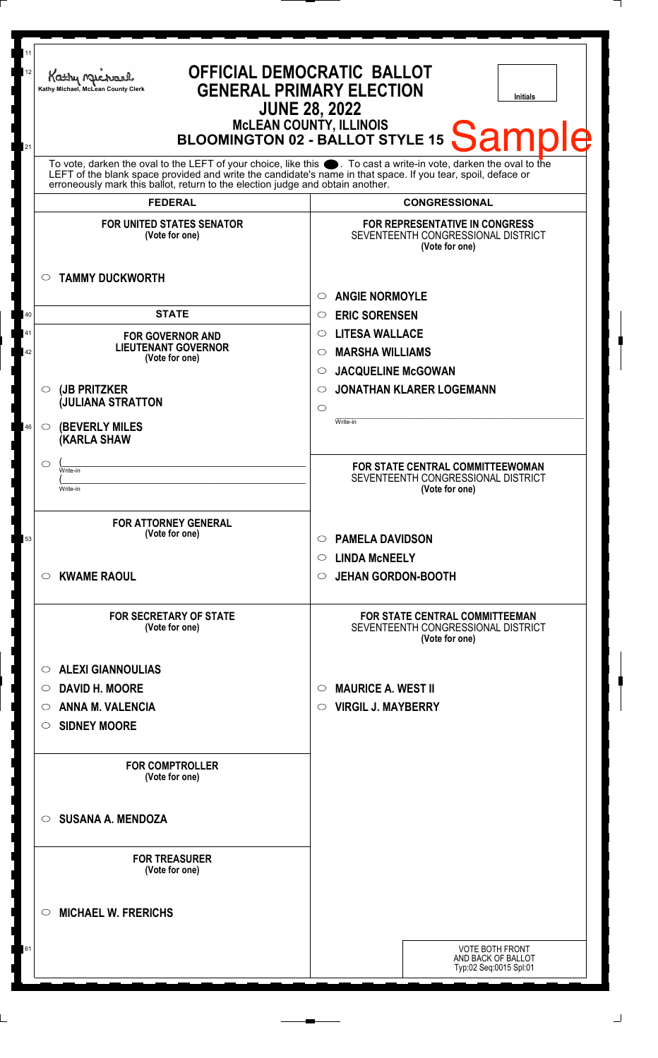| 11<br>12<br>21 | Kathy Michael<br>Kathy Michael, McLean County Clerk                                                                                                                                                                                                                                                                    | <b>OFFICIAL DEMOCRATIC BALLOT</b><br><b>GENERAL PRIMARY ELECTION</b><br><b>Initials</b><br><b>JUNE 28, 2022</b><br>McLEAN COUNTY, ILLINOIS<br>BLOOMINGTON 02 - BALLOT STYLE 15<br>Sample |
|----------------|------------------------------------------------------------------------------------------------------------------------------------------------------------------------------------------------------------------------------------------------------------------------------------------------------------------------|------------------------------------------------------------------------------------------------------------------------------------------------------------------------------------------|
|                | To vote, darken the oval to the LEFT of your choice, like this $\bullet$ . To cast a write-in vote, darken the oval to the LEFT of the blank space provided and write the candidate's name in that space. If you tear, spoil, deface<br>erroneously mark this ballot, return to the election judge and obtain another. |                                                                                                                                                                                          |
|                | <b>FEDERAL</b>                                                                                                                                                                                                                                                                                                         | <b>CONGRESSIONAL</b>                                                                                                                                                                     |
|                | <b>FOR UNITED STATES SENATOR</b><br>(Vote for one)                                                                                                                                                                                                                                                                     | FOR REPRESENTATIVE IN CONGRESS<br>SEVENTEENTH CONGRESSIONAL DISTRICT<br>(Vote for one)                                                                                                   |
|                | <b>TAMMY DUCKWORTH</b>                                                                                                                                                                                                                                                                                                 | <b>ANGIE NORMOYLE</b><br>$\circ$                                                                                                                                                         |
| 40             | <b>STATE</b>                                                                                                                                                                                                                                                                                                           | <b>ERIC SORENSEN</b><br>$\circ$                                                                                                                                                          |
| 41             | <b>FOR GOVERNOR AND</b>                                                                                                                                                                                                                                                                                                | <b>LITESA WALLACE</b><br>$\circ$                                                                                                                                                         |
| 42             | <b>LIEUTENANT GOVERNOR</b><br>(Vote for one)                                                                                                                                                                                                                                                                           | <b>MARSHA WILLIAMS</b><br>$\circ$                                                                                                                                                        |
|                |                                                                                                                                                                                                                                                                                                                        | <b>JACQUELINE McGOWAN</b><br>$\circ$                                                                                                                                                     |
|                | (JB PRITZKER<br>◯                                                                                                                                                                                                                                                                                                      | <b>JONATHAN KLARER LOGEMANN</b><br>$\circ$                                                                                                                                               |
|                | <b>JULIANA STRATTON</b>                                                                                                                                                                                                                                                                                                | $\circ$                                                                                                                                                                                  |
| 46             | <b>(BEVERLY MILES)</b><br>$\circ$<br><b>(KARLA SHAW</b>                                                                                                                                                                                                                                                                | Write-in                                                                                                                                                                                 |
|                | O<br>Write-in                                                                                                                                                                                                                                                                                                          | FOR STATE CENTRAL COMMITTEEWOMAN                                                                                                                                                         |
|                | Write-in                                                                                                                                                                                                                                                                                                               | SEVENTEENTH CONGRESSIONAL DISTRICT<br>(Vote for one)                                                                                                                                     |
|                |                                                                                                                                                                                                                                                                                                                        |                                                                                                                                                                                          |
| 53             | <b>FOR ATTORNEY GENERAL</b><br>(Vote for one)                                                                                                                                                                                                                                                                          | <b>PAMELA DAVIDSON</b><br>$\circ$                                                                                                                                                        |
|                |                                                                                                                                                                                                                                                                                                                        | $\circ$ LINDA McNEELY                                                                                                                                                                    |
|                | <b>KWAME RAOUL</b><br>$\circ$                                                                                                                                                                                                                                                                                          | <b>JEHAN GORDON-BOOTH</b><br>$\circ$                                                                                                                                                     |
|                | <b>FOR SECRETARY OF STATE</b><br>(Vote for one)                                                                                                                                                                                                                                                                        | <b>FOR STATE CENTRAL COMMITTEEMAN</b><br>SEVENTEENTH CONGRESSIONAL DISTRICT<br>(Vote for one)                                                                                            |
|                | <b>ALEXI GIANNOULIAS</b><br>$\circ$                                                                                                                                                                                                                                                                                    |                                                                                                                                                                                          |
|                | <b>DAVID H. MOORE</b><br>O                                                                                                                                                                                                                                                                                             | <b>MAURICE A. WEST II</b><br>$\circ$                                                                                                                                                     |
|                | ANNA M. VALENCIA<br>$\circ$                                                                                                                                                                                                                                                                                            | $\circ$ VIRGIL J. MAYBERRY                                                                                                                                                               |
|                | <b>SIDNEY MOORE</b><br>$\circ$                                                                                                                                                                                                                                                                                         |                                                                                                                                                                                          |
|                |                                                                                                                                                                                                                                                                                                                        |                                                                                                                                                                                          |
|                | <b>FOR COMPTROLLER</b><br>(Vote for one)                                                                                                                                                                                                                                                                               |                                                                                                                                                                                          |
|                | <b>SUSANA A. MENDOZA</b><br>$\bigcirc$                                                                                                                                                                                                                                                                                 |                                                                                                                                                                                          |
|                | <b>FOR TREASURER</b><br>(Vote for one)                                                                                                                                                                                                                                                                                 |                                                                                                                                                                                          |
|                | <b>MICHAEL W. FRERICHS</b><br>◯                                                                                                                                                                                                                                                                                        |                                                                                                                                                                                          |
| 61             |                                                                                                                                                                                                                                                                                                                        | <b>VOTE BOTH FRONT</b>                                                                                                                                                                   |
|                |                                                                                                                                                                                                                                                                                                                        | AND BACK OF BALLOT<br>Typ:02 Seq:0015 Spl:01                                                                                                                                             |
|                |                                                                                                                                                                                                                                                                                                                        |                                                                                                                                                                                          |

 $\perp$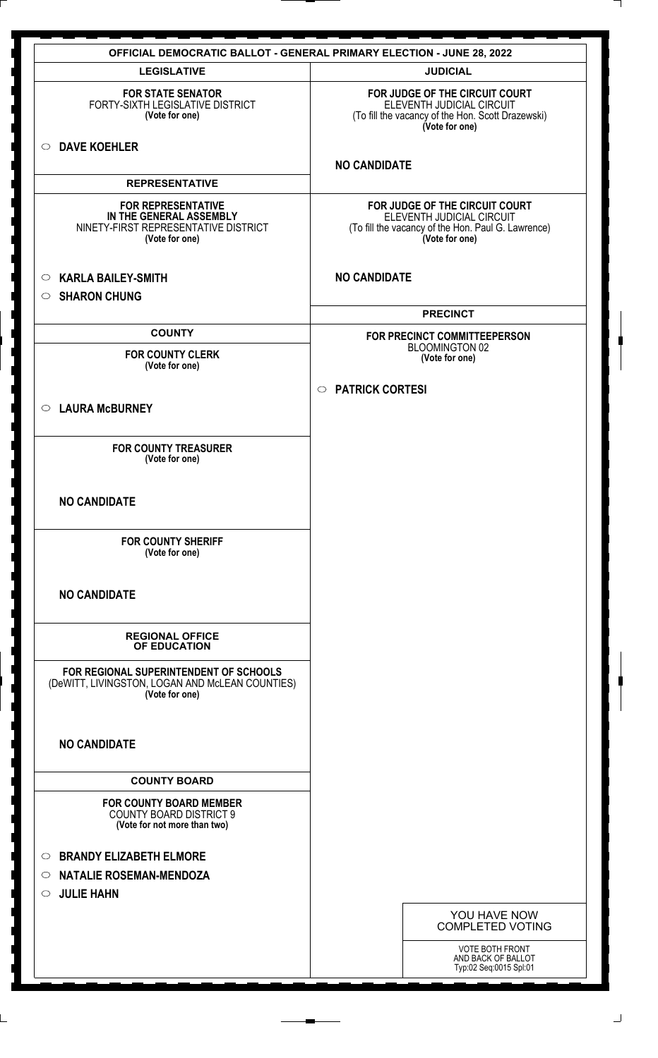|                                                                                                                | <b>OFFICIAL DEMOCRATIC BALLOT - GENERAL PRIMARY ELECTION - JUNE 28, 2022</b>                                                        |
|----------------------------------------------------------------------------------------------------------------|-------------------------------------------------------------------------------------------------------------------------------------|
| <b>LEGISLATIVE</b>                                                                                             | <b>JUDICIAL</b>                                                                                                                     |
| <b>FOR STATE SENATOR</b><br>FORTY-SIXTH LEGISLATIVE DISTRICT<br>(Vote for one)                                 | FOR JUDGE OF THE CIRCUIT COURT<br>ELEVENTH JUDICIAL CIRCUIT<br>(To fill the vacancy of the Hon. Scott Drazewski)<br>(Vote for one)  |
| <b>DAVE KOEHLER</b><br>$\circ$                                                                                 | <b>NO CANDIDATE</b>                                                                                                                 |
| <b>REPRESENTATIVE</b>                                                                                          |                                                                                                                                     |
| <b>FOR REPRESENTATIVE</b><br>IN THE GENERAL ASSEMBLY<br>NINETY-FIRST REPRESENTATIVE DISTRICT<br>(Vote for one) | FOR JUDGE OF THE CIRCUIT COURT<br>ELEVENTH JUDICIAL CIRCUIT<br>(To fill the vacancy of the Hon. Paul G. Lawrence)<br>(Vote for one) |
| <b>KARLA BAILEY-SMITH</b><br>$\circ$<br><b>SHARON CHUNG</b><br>$\circ$                                         | <b>NO CANDIDATE</b>                                                                                                                 |
|                                                                                                                | <b>PRECINCT</b>                                                                                                                     |
| <b>COUNTY</b>                                                                                                  | FOR PRECINCT COMMITTEEPERSON                                                                                                        |
| <b>FOR COUNTY CLERK</b><br>(Vote for one)                                                                      | BLOOMINGTON 02<br>(Vote for one)                                                                                                    |
|                                                                                                                | ○ PATRICK CORTESI                                                                                                                   |
| ○ LAURA McBURNEY                                                                                               |                                                                                                                                     |
|                                                                                                                |                                                                                                                                     |
| <b>FOR COUNTY TREASURER</b><br>(Vote for one)                                                                  |                                                                                                                                     |
| <b>NO CANDIDATE</b>                                                                                            |                                                                                                                                     |
| <b>FOR COUNTY SHERIFF</b><br>(Vote for one)                                                                    |                                                                                                                                     |
| <b>NO CANDIDATE</b>                                                                                            |                                                                                                                                     |
| <b>REGIONAL OFFICE</b><br>OF EDUCATION                                                                         |                                                                                                                                     |
| FOR REGIONAL SUPERINTENDENT OF SCHOOLS<br>(DeWITT, LIVINGSTON, LOGAN AND McLEAN COUNTIES)<br>(Vote for one)    |                                                                                                                                     |
| <b>NO CANDIDATE</b>                                                                                            |                                                                                                                                     |
| <b>COUNTY BOARD</b>                                                                                            |                                                                                                                                     |
| <b>FOR COUNTY BOARD MEMBER</b><br><b>COUNTY BOARD DISTRICT 9</b><br>(Vote for not more than two)               |                                                                                                                                     |
| <b>BRANDY ELIZABETH ELMORE</b><br>$\circ$                                                                      |                                                                                                                                     |
| <b>NATALIE ROSEMAN-MENDOZA</b><br>$\circ$                                                                      |                                                                                                                                     |
| <b>JULIE HAHN</b><br>$\circ$                                                                                   |                                                                                                                                     |
|                                                                                                                | YOU HAVE NOW<br><b>COMPLETED VOTING</b>                                                                                             |
|                                                                                                                | VOTE BOTH FRONT                                                                                                                     |
|                                                                                                                | AND BACK OF BALLOT<br>Typ:02 Seq:0015 Spl:01                                                                                        |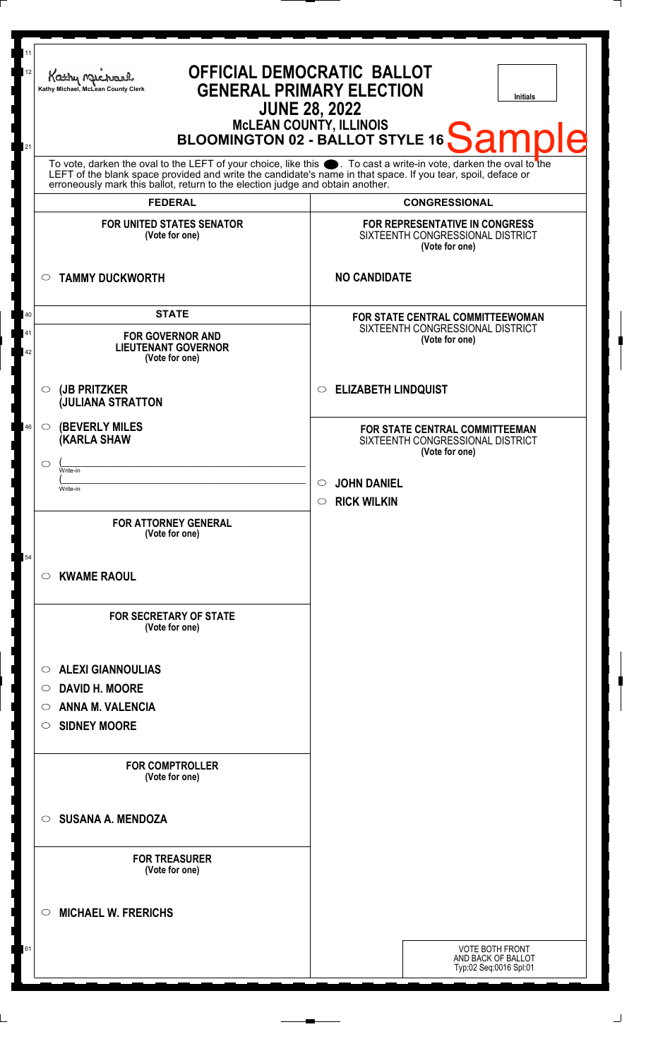| Kathy My<br>Kathy Michael, McLean County Clerk                                                                                                                                                                   | <b>OFFICIAL DEMOCRATIC BALLOT</b><br><b>GENERAL PRIMARY ELECTION</b><br><b>Initials</b><br><b>JUNE 28, 2022</b><br>MCLEAN COUNTY, ILLINOIS<br>BLOOMINGTON 02 - BALLOT STYLE 16 Sample |
|------------------------------------------------------------------------------------------------------------------------------------------------------------------------------------------------------------------|---------------------------------------------------------------------------------------------------------------------------------------------------------------------------------------|
| LEFT of the blank space provided and write the candidate's name in that space. If you tear, spoil, deface or<br>erroneously mark this ballot, return to the election judge and obtain another.<br><b>FEDERAL</b> | To vote, darken the oval to the LEFT of your choice, like this . To cast a write-in vote, darken the oval to the<br><b>CONGRESSIONAL</b>                                              |
| <b>FOR UNITED STATES SENATOR</b><br>(Vote for one)                                                                                                                                                               | FOR REPRESENTATIVE IN CONGRESS<br>SIXTEENTH CONGRESSIONAL DISTRICT<br>(Vote for one)                                                                                                  |
| <b>TAMMY DUCKWORTH</b><br>O                                                                                                                                                                                      | <b>NO CANDIDATE</b>                                                                                                                                                                   |
| <b>STATE</b><br><b>FOR GOVERNOR AND</b><br><b>LIEUTENANT GOVERNOR</b><br>(Vote for one)                                                                                                                          | FOR STATE CENTRAL COMMITTEEWOMAN<br>SIXTEENTH CONGRESSIONAL DISTRICT<br>(Vote for one)                                                                                                |
| (JB PRITZKER<br>$\circ$<br><b>JULIANA STRATTON</b>                                                                                                                                                               | <b>ELIZABETH LINDQUIST</b><br>O                                                                                                                                                       |
| <b>(BEVERLY MILES)</b><br>$\circ$<br>(KARLA SHAW<br>◯<br>Write-in<br>Write-in                                                                                                                                    | FOR STATE CENTRAL COMMITTEEMAN<br>SIXTEENTH CONGRESSIONAL DISTRICT<br>(Vote for one)<br><b>JOHN DANIEL</b><br>$\circlearrowright$                                                     |
| <b>FOR ATTORNEY GENERAL</b><br>(Vote for one)                                                                                                                                                                    | <b>RICK WILKIN</b><br>$\circ$                                                                                                                                                         |
| <b>KWAME RAOUL</b><br>$\circ$                                                                                                                                                                                    |                                                                                                                                                                                       |
| <b>FOR SECRETARY OF STATE</b><br>(Vote for one)                                                                                                                                                                  |                                                                                                                                                                                       |
| <b>ALEXI GIANNOULIAS</b><br>$\circ$<br><b>DAVID H. MOORE</b><br>O<br><b>ANNA M. VALENCIA</b><br>O<br><b>SIDNEY MOORE</b><br>O                                                                                    |                                                                                                                                                                                       |
| <b>FOR COMPTROLLER</b><br>(Vote for one)                                                                                                                                                                         |                                                                                                                                                                                       |
| <b>SUSANA A. MENDOZA</b><br>O                                                                                                                                                                                    |                                                                                                                                                                                       |
| <b>FOR TREASURER</b><br>(Vote for one)                                                                                                                                                                           |                                                                                                                                                                                       |
| <b>MICHAEL W. FRERICHS</b><br>◯                                                                                                                                                                                  |                                                                                                                                                                                       |
|                                                                                                                                                                                                                  | <b>VOTE BOTH FRONT</b><br>AND BACK OF BALLOT<br>Typ:02 Seq:0016 Spl:01                                                                                                                |

 $\perp$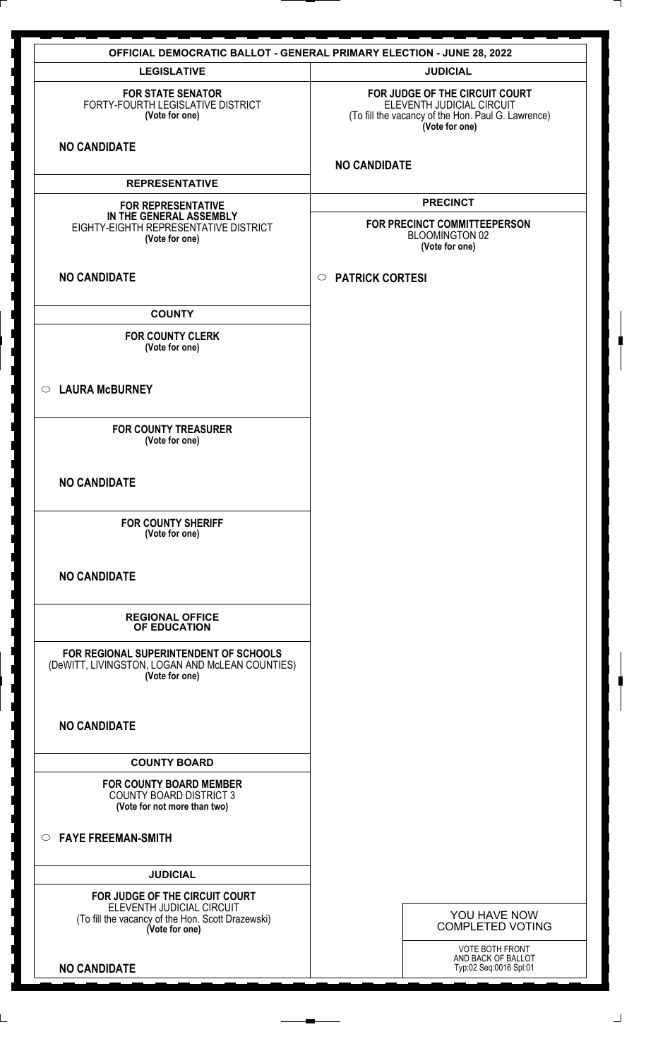|                                                                                                                                    | <b>OFFICIAL DEMOCRATIC BALLOT - GENERAL PRIMARY ELECTION - JUNE 28, 2022</b>                                                        |
|------------------------------------------------------------------------------------------------------------------------------------|-------------------------------------------------------------------------------------------------------------------------------------|
| <b>LEGISLATIVE</b>                                                                                                                 | <b>JUDICIAL</b>                                                                                                                     |
| <b>FOR STATE SENATOR</b><br>FORTY-FOURTH LEGISLATIVE DISTRICT<br>(Vote for one)                                                    | FOR JUDGE OF THE CIRCUIT COURT<br>ELEVENTH JUDICIAL CIRCUIT<br>(To fill the vacancy of the Hon. Paul G. Lawrence)<br>(Vote for one) |
| <b>NO CANDIDATE</b>                                                                                                                | <b>NO CANDIDATE</b>                                                                                                                 |
| <b>REPRESENTATIVE</b>                                                                                                              |                                                                                                                                     |
| <b>FOR REPRESENTATIVE</b><br>IN THE GENERAL ASSEMBLY<br>EIGHTY-EIGHTH REPRESENTATIVE DISTRICT<br>(Vote for one)                    | <b>PRECINCT</b><br>FOR PRECINCT COMMITTEEPERSON<br>BLOOMINGTON 02<br>(Vote for one)                                                 |
| <b>NO CANDIDATE</b>                                                                                                                | <b>PATRICK CORTESI</b><br>$\circ$                                                                                                   |
| <b>COUNTY</b>                                                                                                                      |                                                                                                                                     |
| <b>FOR COUNTY CLERK</b><br>(Vote for one)                                                                                          |                                                                                                                                     |
| <b>LAURA McBURNEY</b><br>$\circ$                                                                                                   |                                                                                                                                     |
| <b>FOR COUNTY TREASURER</b><br>(Vote for one)                                                                                      |                                                                                                                                     |
| <b>NO CANDIDATE</b>                                                                                                                |                                                                                                                                     |
| <b>FOR COUNTY SHERIFF</b><br>(Vote for one)                                                                                        |                                                                                                                                     |
| <b>NO CANDIDATE</b>                                                                                                                |                                                                                                                                     |
| <b>REGIONAL OFFICE</b><br>OF EDUCATION                                                                                             |                                                                                                                                     |
| FOR REGIONAL SUPERINTENDENT OF SCHOOLS<br>(DeWITT, LIVINGSTON, LOGAN AND McLEAN COUNTIES)<br>(Vote for one)                        |                                                                                                                                     |
| <b>NO CANDIDATE</b>                                                                                                                |                                                                                                                                     |
| <b>COUNTY BOARD</b>                                                                                                                |                                                                                                                                     |
| <b>FOR COUNTY BOARD MEMBER</b><br><b>COUNTY BOARD DISTRICT 3</b><br>(Vote for not more than two)                                   |                                                                                                                                     |
| $\circ$ FAYE FREEMAN-SMITH                                                                                                         |                                                                                                                                     |
| <b>JUDICIAL</b>                                                                                                                    |                                                                                                                                     |
| FOR JUDGE OF THE CIRCUIT COURT<br>ELEVENTH JUDICIAL CIRCUIT<br>(To fill the vacancy of the Hon. Scott Drazewski)<br>(Vote for one) | YOU HAVE NOW<br><b>COMPLETED VOTING</b>                                                                                             |
| <b>NO CANDIDATE</b>                                                                                                                | VOTE BOTH FRONT<br>AND BACK OF BALLOT<br>Typ:02 Seq:0016 Spl:01                                                                     |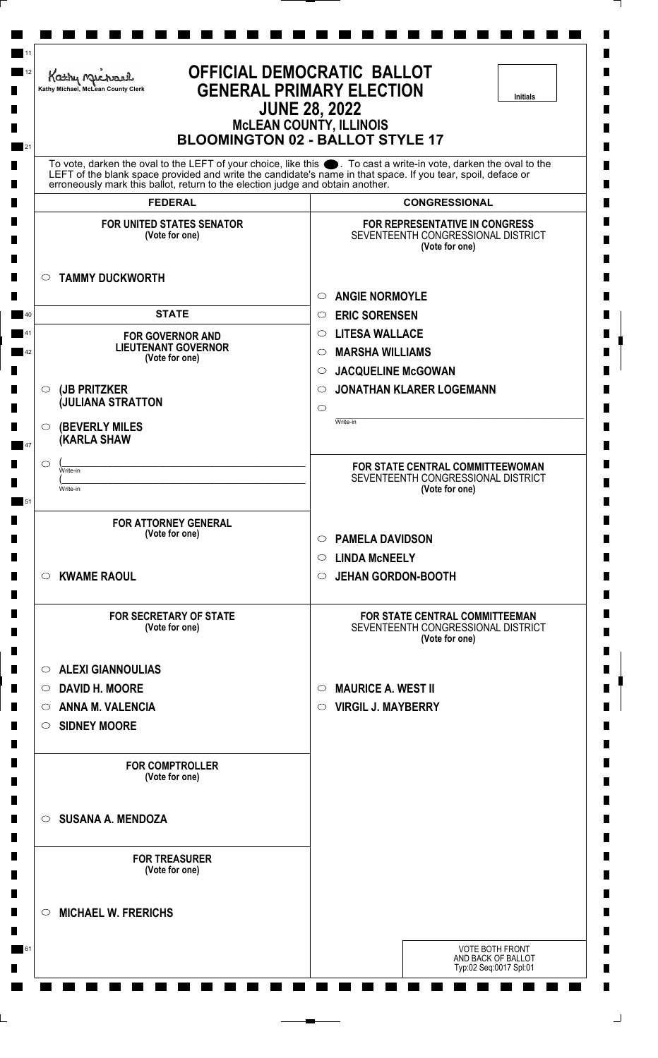| OFFICIAL DEMOCRATIC BALLOT<br>Kathy Michael<br><b>GENERAL PRIMARY ELECTION</b><br>Kathy Michael, McLean County Clerk<br><b>Initials</b><br><b>JUNE 28, 2022</b><br><b>MCLEAN COUNTY, ILLINOIS</b><br><b>BLOOMINGTON 02 - BALLOT STYLE 17</b> |                                                                                                                   |
|----------------------------------------------------------------------------------------------------------------------------------------------------------------------------------------------------------------------------------------------|-------------------------------------------------------------------------------------------------------------------|
|                                                                                                                                                                                                                                              | To vote, darken the oval to the LEFT of your choice, like this ●. To cast a write-in vote, darken the oval to the |
| erroneously mark this ballot, return to the election judge and obtain another.                                                                                                                                                               | LEFT of the blank space provided and write the candidate's name in that space. If you tear, spoil, deface or      |
| <b>FEDERAL</b>                                                                                                                                                                                                                               | <b>CONGRESSIONAL</b>                                                                                              |
| <b>FOR UNITED STATES SENATOR</b><br>(Vote for one)                                                                                                                                                                                           | FOR REPRESENTATIVE IN CONGRESS<br>SEVENTEENTH CONGRESSIONAL DISTRICT<br>(Vote for one)                            |
| <b>TAMMY DUCKWORTH</b><br>$\circ$                                                                                                                                                                                                            |                                                                                                                   |
|                                                                                                                                                                                                                                              | <b>ANGIE NORMOYLE</b><br>$\circ$                                                                                  |
| <b>STATE</b>                                                                                                                                                                                                                                 | <b>ERIC SORENSEN</b><br>$\circ$                                                                                   |
| <b>FOR GOVERNOR AND</b><br><b>LIEUTENANT GOVERNOR</b>                                                                                                                                                                                        | <b>LITESA WALLACE</b><br>$\circ$                                                                                  |
| (Vote for one)                                                                                                                                                                                                                               | <b>MARSHA WILLIAMS</b><br>$\circ$                                                                                 |
|                                                                                                                                                                                                                                              | <b>JACQUELINE McGOWAN</b><br>$\circ$                                                                              |
| (JB PRITZKER<br>$\circ$<br><b>JULIANA STRATTON</b>                                                                                                                                                                                           | <b>JONATHAN KLARER LOGEMANN</b><br>$\circ$<br>$\circ$                                                             |
| O                                                                                                                                                                                                                                            | Write-in                                                                                                          |
| <b>(BEVERLY MILES)</b><br><b>(KARLA SHAW</b>                                                                                                                                                                                                 |                                                                                                                   |
| O                                                                                                                                                                                                                                            | FOR STATE CENTRAL COMMITTEEWOMAN                                                                                  |
| Write-in<br>Write-in                                                                                                                                                                                                                         | SEVENTEENTH CONGRESSIONAL DISTRICT                                                                                |
|                                                                                                                                                                                                                                              | (Vote for one)                                                                                                    |
| <b>FOR ATTORNEY GENERAL</b>                                                                                                                                                                                                                  |                                                                                                                   |
| (Vote for one)                                                                                                                                                                                                                               | <b>PAMELA DAVIDSON</b><br>$\circ$                                                                                 |
|                                                                                                                                                                                                                                              | <b>LINDA MCNEELY</b><br>$\circ$                                                                                   |
| <b>KWAME RAOUL</b><br>$\circ$                                                                                                                                                                                                                | <b>JEHAN GORDON-BOOTH</b><br>$\circ$                                                                              |
| <b>FOR SECRETARY OF STATE</b><br>(Vote for one)                                                                                                                                                                                              | FOR STATE CENTRAL COMMITTEEMAN<br>SEVENTEENTH CONGRESSIONAL DISTRICT<br>(Vote for one)                            |
| <b>ALEXI GIANNOULIAS</b><br>$\circ$                                                                                                                                                                                                          |                                                                                                                   |
| <b>DAVID H. MOORE</b><br>$\circ$                                                                                                                                                                                                             | <b>MAURICE A. WEST II</b><br>$\circ$                                                                              |
| <b>ANNA M. VALENCIA</b><br>$\circ$                                                                                                                                                                                                           | <b>VIRGIL J. MAYBERRY</b><br>$\circ$                                                                              |
| <b>SIDNEY MOORE</b><br>$\circ$                                                                                                                                                                                                               |                                                                                                                   |
| <b>FOR COMPTROLLER</b><br>(Vote for one)                                                                                                                                                                                                     |                                                                                                                   |
| <b>SUSANA A. MENDOZA</b><br>$\circ$                                                                                                                                                                                                          |                                                                                                                   |
| <b>FOR TREASURER</b><br>(Vote for one)                                                                                                                                                                                                       |                                                                                                                   |
| <b>MICHAEL W. FRERICHS</b><br>$\circlearrowright$                                                                                                                                                                                            |                                                                                                                   |
|                                                                                                                                                                                                                                              | <b>VOTE BOTH FRONT</b><br>AND BACK OF BALLOT                                                                      |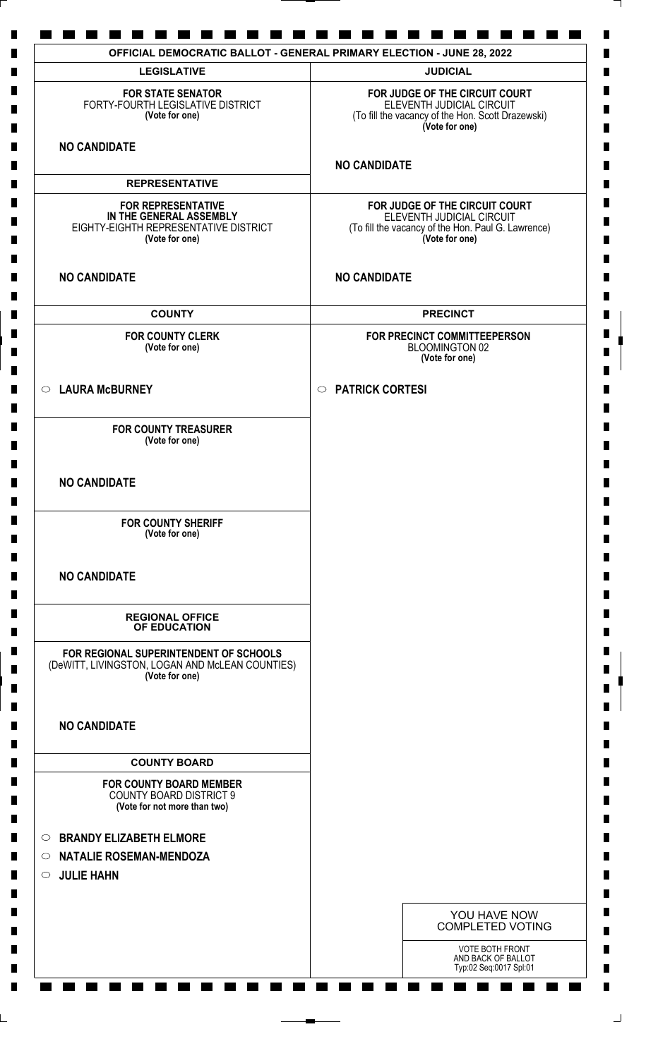| <b>LEGISLATIVE</b>                                                                                              | <b>JUDICIAL</b>                                                                                                                     |
|-----------------------------------------------------------------------------------------------------------------|-------------------------------------------------------------------------------------------------------------------------------------|
| <b>FOR STATE SENATOR</b><br>FORTY-FOURTH LEGISLATIVE DISTRICT<br>(Vote for one)                                 | FOR JUDGE OF THE CIRCUIT COURT<br>ELEVENTH JUDICIAL CIRCUIT<br>(To fill the vacancy of the Hon. Scott Drazewski)<br>(Vote for one)  |
| <b>NO CANDIDATE</b>                                                                                             | <b>NO CANDIDATE</b>                                                                                                                 |
| <b>REPRESENTATIVE</b>                                                                                           |                                                                                                                                     |
| <b>FOR REPRESENTATIVE</b><br>IN THE GENERAL ASSEMBLY<br>EIGHTY-EIGHTH REPRESENTATIVE DISTRICT<br>(Vote for one) | FOR JUDGE OF THE CIRCUIT COURT<br>ELEVENTH JUDICIAL CIRCUIT<br>(To fill the vacancy of the Hon. Paul G. Lawrence)<br>(Vote for one) |
| <b>NO CANDIDATE</b>                                                                                             | <b>NO CANDIDATE</b>                                                                                                                 |
| <b>COUNTY</b>                                                                                                   | <b>PRECINCT</b>                                                                                                                     |
| <b>FOR COUNTY CLERK</b><br>(Vote for one)                                                                       | FOR PRECINCT COMMITTEEPERSON<br>BLOOMINGTON 02<br>(Vote for one)                                                                    |
| ○ LAURA McBURNEY                                                                                                | <b>PATRICK CORTESI</b><br>$\circ$                                                                                                   |
| <b>FOR COUNTY TREASURER</b><br>(Vote for one)                                                                   |                                                                                                                                     |
| <b>NO CANDIDATE</b>                                                                                             |                                                                                                                                     |
| <b>FOR COUNTY SHERIFF</b><br>(Vote for one)                                                                     |                                                                                                                                     |
| <b>NO CANDIDATE</b>                                                                                             |                                                                                                                                     |
| <b>REGIONAL OFFICE</b><br>OF EDUCATION                                                                          |                                                                                                                                     |
| FOR REGIONAL SUPERINTENDENT OF SCHOOLS<br>(DeWITT, LIVINGSTON, LOGAN AND McLEAN COUNTIES)<br>(Vote for one)     |                                                                                                                                     |
| <b>NO CANDIDATE</b>                                                                                             |                                                                                                                                     |
| <b>COUNTY BOARD</b>                                                                                             |                                                                                                                                     |
| <b>FOR COUNTY BOARD MEMBER</b><br><b>COUNTY BOARD DISTRICT 9</b><br>(Vote for not more than two)                |                                                                                                                                     |
| <b>BRANDY ELIZABETH ELMORE</b><br>$\circ$                                                                       |                                                                                                                                     |
| <b>NATALIE ROSEMAN-MENDOZA</b><br>$\circ$                                                                       |                                                                                                                                     |
| <b>JULIE HAHN</b><br>$\circ$                                                                                    |                                                                                                                                     |
|                                                                                                                 | YOU HAVE NOW<br><b>COMPLETED VOTING</b>                                                                                             |
|                                                                                                                 | <b>VOTE BOTH FRONT</b><br>AND BACK OF BALLOT<br>Typ:02 Seq:0017 Spl:01                                                              |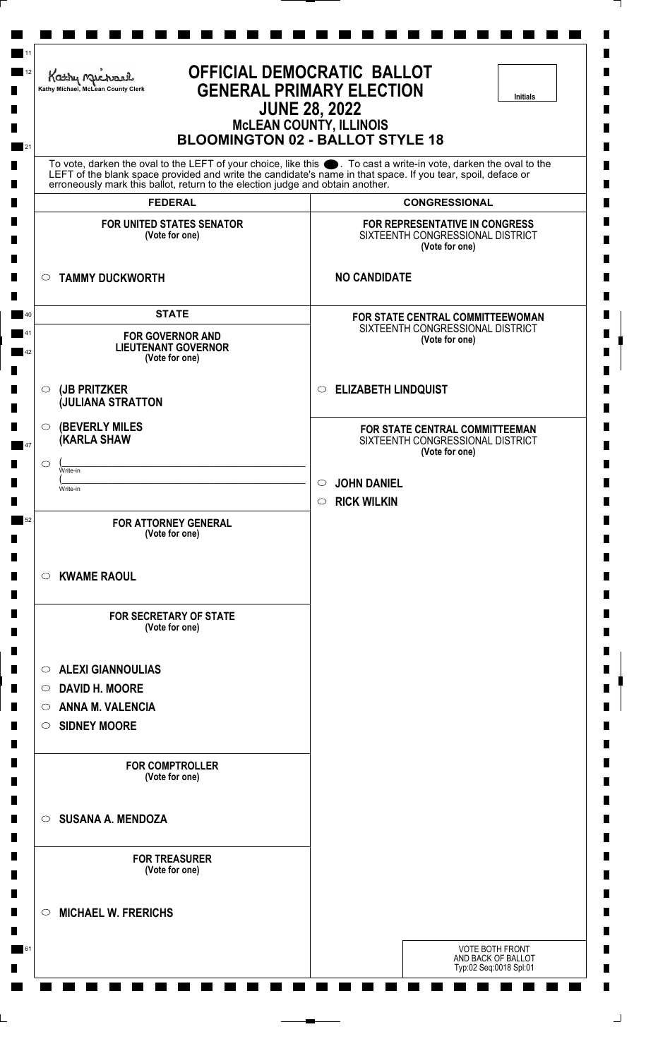| Kathy Michael<br>Kathy Michael, McLean County Clerk                            | <b>OFFICIAL DEMOCRATIC BALLOT</b><br><b>GENERAL PRIMARY ELECTION</b><br><b>Initials</b><br><b>JUNE 28, 2022</b><br><b>MCLEAN COUNTY, ILLINOIS</b><br><b>BLOOMINGTON 02 - BALLOT STYLE 18</b>                                         |
|--------------------------------------------------------------------------------|--------------------------------------------------------------------------------------------------------------------------------------------------------------------------------------------------------------------------------------|
| erroneously mark this ballot, return to the election judge and obtain another. | To vote, darken the oval to the LEFT of your choice, like this $\bullet$ . To cast a write-in vote, darken the oval to the LEFT of the blank space provided and write the candidate's name in that space. If you tear, spoil, deface |
| <b>FEDERAL</b>                                                                 | <b>CONGRESSIONAL</b>                                                                                                                                                                                                                 |
| <b>FOR UNITED STATES SENATOR</b><br>(Vote for one)                             | FOR REPRESENTATIVE IN CONGRESS<br>SIXTEENTH CONGRESSIONAL DISTRICT<br>(Vote for one)                                                                                                                                                 |
| $\circ$ TAMMY DUCKWORTH                                                        | <b>NO CANDIDATE</b>                                                                                                                                                                                                                  |
| <b>STATE</b>                                                                   | FOR STATE CENTRAL COMMITTEEWOMAN                                                                                                                                                                                                     |
| <b>FOR GOVERNOR AND</b><br><b>LIEUTENANT GOVERNOR</b><br>(Vote for one)        | SIXTEENTH CONGRESSIONAL DISTRICT<br>(Vote for one)                                                                                                                                                                                   |
| (JB PRITZKER<br>$\circ$<br><b>JULIANA STRATTON</b>                             | C ELIZABETH LINDQUIST                                                                                                                                                                                                                |
| <b>(BEVERLY MILES)</b><br>$\circ$<br><b>(KARLA SHAW</b>                        | FOR STATE CENTRAL COMMITTEEMAN<br>SIXTEENTH CONGRESSIONAL DISTRICT<br>(Vote for one)                                                                                                                                                 |
| C<br>Write-in                                                                  | <b>JOHN DANIEL</b><br>$\circlearrowright$                                                                                                                                                                                            |
| Write-in                                                                       | <b>RICK WILKIN</b><br>$\circ$                                                                                                                                                                                                        |
| <b>FOR ATTORNEY GENERAL</b><br>(Vote for one)                                  |                                                                                                                                                                                                                                      |
| <b>KWAME RAOUL</b><br>$\circ$                                                  |                                                                                                                                                                                                                                      |
| <b>FOR SECRETARY OF STATE</b><br>(Vote for one)                                |                                                                                                                                                                                                                                      |
| <b>ALEXI GIANNOULIAS</b><br>$\circ$                                            |                                                                                                                                                                                                                                      |
| <b>DAVID H. MOORE</b><br>$\circ$                                               |                                                                                                                                                                                                                                      |
| <b>ANNA M. VALENCIA</b><br>$\circ$                                             |                                                                                                                                                                                                                                      |
| SIDNEY MOORE                                                                   |                                                                                                                                                                                                                                      |
| <b>FOR COMPTROLLER</b><br>(Vote for one)                                       |                                                                                                                                                                                                                                      |
| <b>SUSANA A. MENDOZA</b><br>$\circ$                                            |                                                                                                                                                                                                                                      |
| <b>FOR TREASURER</b><br>(Vote for one)                                         |                                                                                                                                                                                                                                      |
| <b>MICHAEL W. FRERICHS</b><br>$\circ$                                          |                                                                                                                                                                                                                                      |
|                                                                                | <b>VOTE BOTH FRONT</b><br>AND BACK OF BALLOT<br>Typ:02 Seq:0018 Spl:01                                                                                                                                                               |

L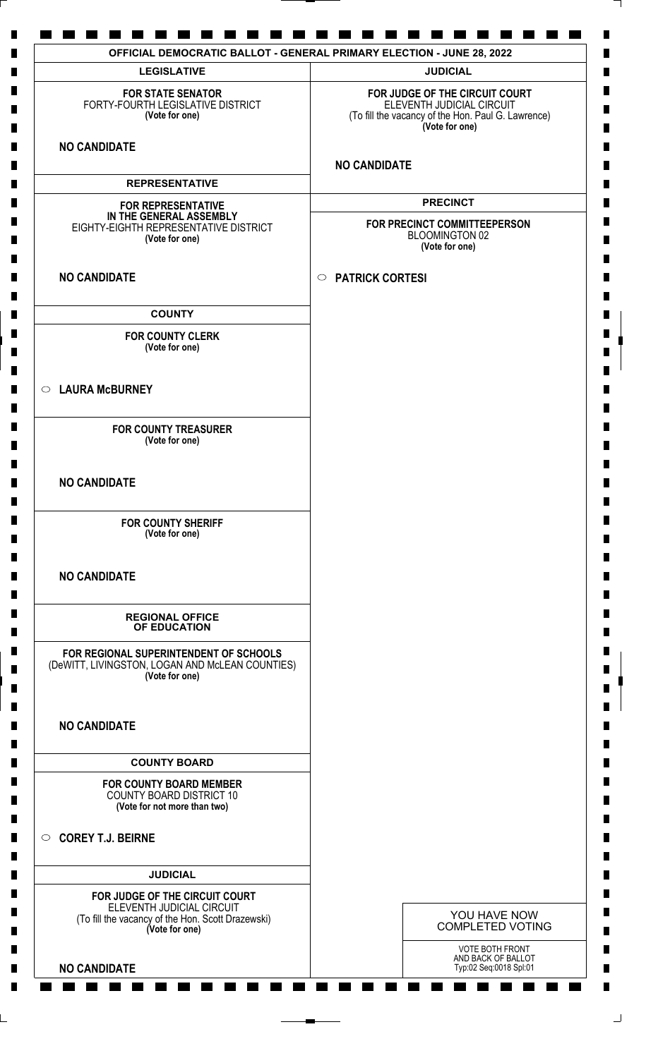| <b>LEGISLATIVE</b>                                                                                               | <b>JUDICIAL</b>                                                                                                                     |
|------------------------------------------------------------------------------------------------------------------|-------------------------------------------------------------------------------------------------------------------------------------|
| <b>FOR STATE SENATOR</b><br>FORTY-FOURTH LEGISLATIVE DISTRICT<br>(Vote for one)                                  | FOR JUDGE OF THE CIRCUIT COURT<br>ELEVENTH JUDICIAL CIRCUIT<br>(To fill the vacancy of the Hon. Paul G. Lawrence)<br>(Vote for one) |
| <b>NO CANDIDATE</b>                                                                                              | <b>NO CANDIDATE</b>                                                                                                                 |
| <b>REPRESENTATIVE</b>                                                                                            |                                                                                                                                     |
| <b>FOR REPRESENTATIVE</b>                                                                                        | <b>PRECINCT</b>                                                                                                                     |
| IN THE GENERAL ASSEMBLY<br>EIGHTY-EIGHTH REPRESENTATIVE DISTRICT<br>(Vote for one)                               | FOR PRECINCT COMMITTEEPERSON<br><b>BLOOMINGTON 02</b><br>(Vote for one)                                                             |
| <b>NO CANDIDATE</b>                                                                                              | <b>PATRICK CORTESI</b><br>$\circ$                                                                                                   |
| <b>COUNTY</b>                                                                                                    |                                                                                                                                     |
| <b>FOR COUNTY CLERK</b><br>(Vote for one)                                                                        |                                                                                                                                     |
| ○ LAURA McBURNEY                                                                                                 |                                                                                                                                     |
| <b>FOR COUNTY TREASURER</b><br>(Vote for one)                                                                    |                                                                                                                                     |
| <b>NO CANDIDATE</b>                                                                                              |                                                                                                                                     |
| <b>FOR COUNTY SHERIFF</b><br>(Vote for one)                                                                      |                                                                                                                                     |
| <b>NO CANDIDATE</b>                                                                                              |                                                                                                                                     |
| <b>REGIONAL OFFICE</b><br>OF EDUCATION                                                                           |                                                                                                                                     |
| FOR REGIONAL SUPERINTENDENT OF SCHOOLS<br>(DeWITT, LIVINGSTON, LOGAN AND McLEAN COUNTIES)<br>(Vote for one)      |                                                                                                                                     |
| <b>NO CANDIDATE</b>                                                                                              |                                                                                                                                     |
| <b>COUNTY BOARD</b>                                                                                              |                                                                                                                                     |
| <b>FOR COUNTY BOARD MEMBER</b><br><b>COUNTY BOARD DISTRICT 10</b><br>(Vote for not more than two)                |                                                                                                                                     |
| COREY T.J. BEIRNE                                                                                                |                                                                                                                                     |
| <b>JUDICIAL</b>                                                                                                  |                                                                                                                                     |
| FOR JUDGE OF THE CIRCUIT COURT<br>ELEVENTH JUDICIAL CIRCUIT<br>(To fill the vacancy of the Hon. Scott Drazewski) | YOU HAVE NOW<br><b>COMPLETED VOTING</b>                                                                                             |
| (Vote for one)                                                                                                   | <b>VOTE BOTH FRONT</b>                                                                                                              |
| <b>NO CANDIDATE</b>                                                                                              | AND BACK OF BALLOT<br>Typ:02 Seq:0018 Spl:01                                                                                        |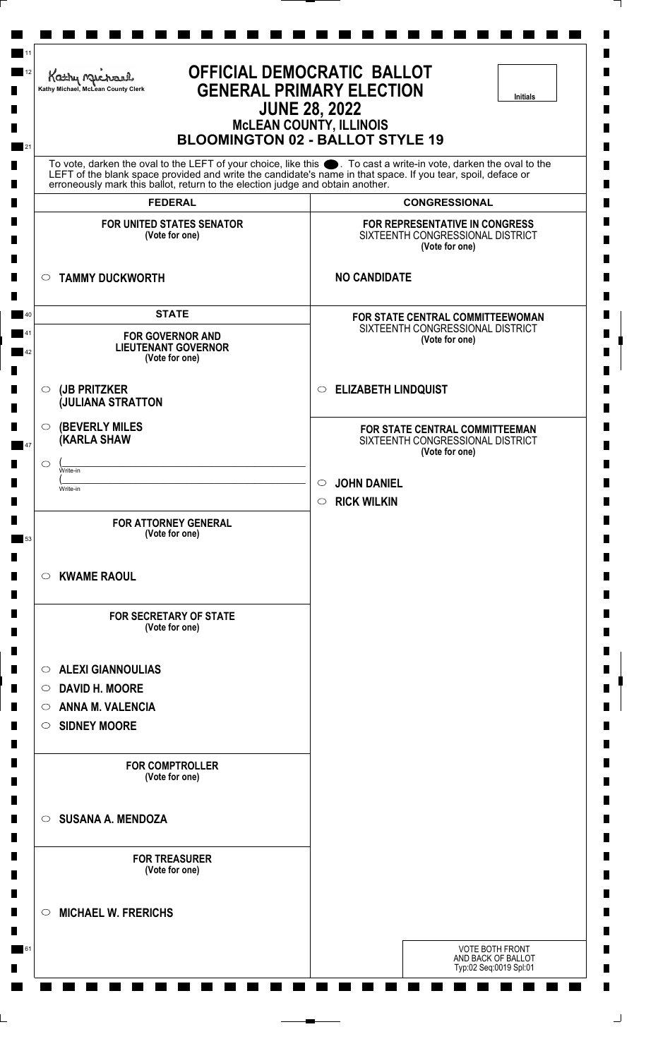| Kathy Michael<br>Kathy Michael, McLean County Clerk                                     | <b>OFFICIAL DEMOCRATIC BALLOT</b><br><b>GENERAL PRIMARY ELECTION</b><br><b>Initials</b><br><b>JUNE 28, 2022</b><br><b>MCLEAN COUNTY, ILLINOIS</b><br><b>BLOOMINGTON 02 - BALLOT STYLE 19</b>                                         |
|-----------------------------------------------------------------------------------------|--------------------------------------------------------------------------------------------------------------------------------------------------------------------------------------------------------------------------------------|
| erroneously mark this ballot, return to the election judge and obtain another.          | To vote, darken the oval to the LEFT of your choice, like this $\bullet$ . To cast a write-in vote, darken the oval to the LEFT of the blank space provided and write the candidate's name in that space. If you tear, spoil, deface |
| <b>FEDERAL</b>                                                                          | <b>CONGRESSIONAL</b>                                                                                                                                                                                                                 |
| <b>FOR UNITED STATES SENATOR</b><br>(Vote for one)                                      | <b>FOR REPRESENTATIVE IN CONGRESS</b><br>SIXTEENTH CONGRESSIONAL DISTRICT<br>(Vote for one)                                                                                                                                          |
| <b>TAMMY DUCKWORTH</b><br>$\circ$                                                       | <b>NO CANDIDATE</b>                                                                                                                                                                                                                  |
| <b>STATE</b><br><b>FOR GOVERNOR AND</b><br><b>LIEUTENANT GOVERNOR</b><br>(Vote for one) | FOR STATE CENTRAL COMMITTEEWOMAN<br>SIXTEENTH CONGRESSIONAL DISTRICT<br>(Vote for one)                                                                                                                                               |
| (JB PRITZKER<br>$\circ$<br><b>JULIANA STRATTON</b>                                      | <b>ELIZABETH LINDQUIST</b><br>$\circ$                                                                                                                                                                                                |
| <b>(BEVERLY MILES</b><br>$\circ$<br><b>(KARLA SHAW</b><br>O                             | FOR STATE CENTRAL COMMITTEEMAN<br>SIXTEENTH CONGRESSIONAL DISTRICT<br>(Vote for one)                                                                                                                                                 |
| Write-in<br>Write-in                                                                    | <b>JOHN DANIEL</b><br>$\circlearrowright$<br><b>RICK WILKIN</b><br>$\circ$                                                                                                                                                           |
| <b>FOR ATTORNEY GENERAL</b><br>(Vote for one)                                           |                                                                                                                                                                                                                                      |
| <b>KWAME RAOUL</b><br>$\circ$                                                           |                                                                                                                                                                                                                                      |
| <b>FOR SECRETARY OF STATE</b><br>(Vote for one)                                         |                                                                                                                                                                                                                                      |
| <b>ALEXI GIANNOULIAS</b><br>$\circ$                                                     |                                                                                                                                                                                                                                      |
| <b>DAVID H. MOORE</b><br>$\circ$                                                        |                                                                                                                                                                                                                                      |
| <b>ANNA M. VALENCIA</b><br>$\circ$                                                      |                                                                                                                                                                                                                                      |
| <b>SIDNEY MOORE</b><br>$\circ$                                                          |                                                                                                                                                                                                                                      |
| <b>FOR COMPTROLLER</b><br>(Vote for one)                                                |                                                                                                                                                                                                                                      |
| <b>SUSANA A. MENDOZA</b><br>$\circ$                                                     |                                                                                                                                                                                                                                      |
| <b>FOR TREASURER</b><br>(Vote for one)                                                  |                                                                                                                                                                                                                                      |
| <b>MICHAEL W. FRERICHS</b><br>$\circ$                                                   |                                                                                                                                                                                                                                      |
|                                                                                         | <b>VOTE BOTH FRONT</b><br>AND BACK OF BALLOT<br>Typ:02 Seq:0019 Spl:01                                                                                                                                                               |

L,